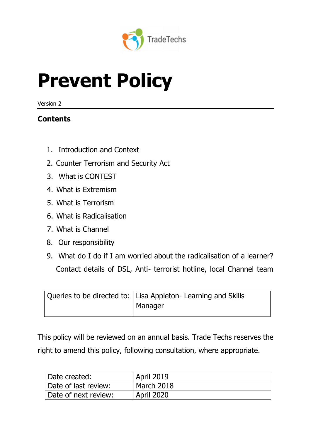

# **Prevent Policy**

Version 2

# **Contents**

- 1. Introduction and Context
- 2. Counter Terrorism and Security Act
- 3. What is CONTEST
- 4. What is Extremism
- 5. What is Terrorism
- 6. What is Radicalisation
- 7. What is Channel
- 8. Our responsibility
- 9. What do I do if I am worried about the radicalisation of a learner? Contact details of DSL, Anti- terrorist hotline, local Channel team

| Queries to be directed to:   Lisa Appleton- Learning and Skills |
|-----------------------------------------------------------------|
| Manager                                                         |

This policy will be reviewed on an annual basis. Trade Techs reserves the right to amend this policy, following consultation, where appropriate.

| Date created:          | <b>April 2019</b> |
|------------------------|-------------------|
| Date of last review:   | March 2018        |
| ' Date of next review: | <b>April 2020</b> |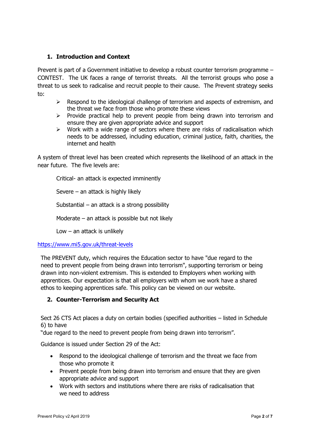# **1. Introduction and Context**

Prevent is part of a Government initiative to develop a robust counter terrorism programme – CONTEST. The UK faces a range of terrorist threats. All the terrorist groups who pose a threat to us seek to radicalise and recruit people to their cause. The Prevent strategy seeks to:

- $\triangleright$  Respond to the ideological challenge of terrorism and aspects of extremism, and the threat we face from those who promote these views
- $\triangleright$  Provide practical help to prevent people from being drawn into terrorism and ensure they are given appropriate advice and support
- $\triangleright$  Work with a wide range of sectors where there are risks of radicalisation which needs to be addressed, including education, criminal justice, faith, charities, the internet and health

A system of threat level has been created which represents the likelihood of an attack in the near future. The five levels are:

Critical- an attack is expected imminently

Severe – an attack is highly likely

Substantial – an attack is a strong possibility

Moderate – an attack is possible but not likely

Low  $-$  an attack is unlikely

#### <https://www.mi5.gov.uk/threat-levels>

The PREVENT duty, which requires the Education sector to have "due regard to the need to prevent people from being drawn into terrorism", supporting terrorism or being drawn into non-violent extremism. This is extended to Employers when working with apprentices. Our expectation is that all employers with whom we work have a shared ethos to keeping apprentices safe. This policy can be viewed on our website.

# **2. Counter-Terrorism and Security Act**

Sect 26 CTS Act places a duty on certain bodies (specified authorities – listed in Schedule 6) to have

"due regard to the need to prevent people from being drawn into terrorism".

Guidance is issued under Section 29 of the Act:

- Respond to the ideological challenge of terrorism and the threat we face from those who promote it
- Prevent people from being drawn into terrorism and ensure that they are given appropriate advice and support
- Work with sectors and institutions where there are risks of radicalisation that we need to address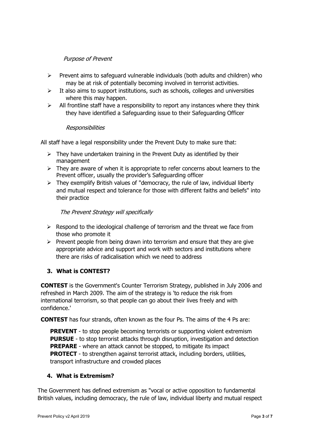# Purpose of Prevent

- $\triangleright$  Prevent aims to safeguard vulnerable individuals (both adults and children) who may be at risk of potentially becoming involved in terrorist activities.
- $\triangleright$  It also aims to support institutions, such as schools, colleges and universities where this may happen.
- $\triangleright$  All frontline staff have a responsibility to report any instances where they think they have identified a Safeguarding issue to their Safeguarding Officer

#### **Responsibilities**

All staff have a legal responsibility under the Prevent Duty to make sure that:

- $\triangleright$  They have undertaken training in the Prevent Duty as identified by their management
- $\triangleright$  They are aware of when it is appropriate to refer concerns about learners to the Prevent officer, usually the provider's Safeguarding officer
- $\triangleright$  They exemplify British values of "democracy, the rule of law, individual liberty and mutual respect and tolerance for those with different faiths and beliefs" into their practice

The Prevent Strategy will specifically

- $\triangleright$  Respond to the ideological challenge of terrorism and the threat we face from those who promote it
- $\triangleright$  Prevent people from being drawn into terrorism and ensure that they are give appropriate advice and support and work with sectors and institutions where there are risks of radicalisation which we need to address

# **3. What is CONTEST?**

**CONTEST** is the Government's Counter Terrorism Strategy, published in July 2006 and refreshed in March 2009. The aim of the strategy is 'to reduce the risk from international terrorism, so that people can go about their lives freely and with confidence.'

**CONTEST** has four strands, often known as the four Ps. The aims of the 4 Ps are:

**PREVENT** - to stop people becoming terrorists or supporting violent extremism **PURSUE** - to stop terrorist attacks through disruption, investigation and detection **PREPARE** - where an attack cannot be stopped, to mitigate its impact **PROTECT** - to strengthen against terrorist attack, including borders, utilities, transport infrastructure and crowded places

# **4. What is Extremism?**

The Government has defined extremism as "vocal or active opposition to fundamental British values, including democracy, the rule of law, individual liberty and mutual respect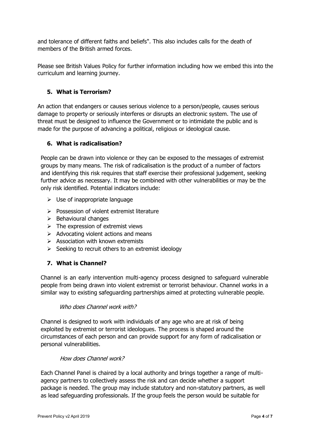and tolerance of different faiths and beliefs". This also includes calls for the death of members of the British armed forces.

Please see British Values Policy for further information including how we embed this into the curriculum and learning journey.

# **5. What is Terrorism?**

An action that endangers or causes serious violence to a person/people, causes serious damage to property or seriously interferes or disrupts an electronic system. The use of threat must be designed to influence the Government or to intimidate the public and is made for the purpose of advancing a political, religious or ideological cause.

# **6. What is radicalisation?**

People can be drawn into violence or they can be exposed to the messages of extremist groups by many means. The risk of radicalisation is the product of a number of factors and identifying this risk requires that staff exercise their professional judgement, seeking further advice as necessary. It may be combined with other vulnerabilities or may be the only risk identified. Potential indicators include:

- $\triangleright$  Use of inappropriate language
- ➢ Possession of violent extremist literature
- ➢ Behavioural changes
- $\triangleright$  The expression of extremist views
- $\triangleright$  Advocating violent actions and means
- $\triangleright$  Association with known extremists
- $\triangleright$  Seeking to recruit others to an extremist ideology

# **7. What is Channel?**

Channel is an early intervention multi-agency process designed to safeguard vulnerable people from being drawn into violent extremist or terrorist behaviour. Channel works in a similar way to existing safeguarding partnerships aimed at protecting vulnerable people.

#### Who does Channel work with?

Channel is designed to work with individuals of any age who are at risk of being exploited by extremist or terrorist ideologues. The process is shaped around the circumstances of each person and can provide support for any form of radicalisation or personal vulnerabilities.

#### How does Channel work?

Each Channel Panel is chaired by a local authority and brings together a range of multiagency partners to collectively assess the risk and can decide whether a support package is needed. The group may include statutory and non-statutory partners, as well as lead safeguarding professionals. If the group feels the person would be suitable for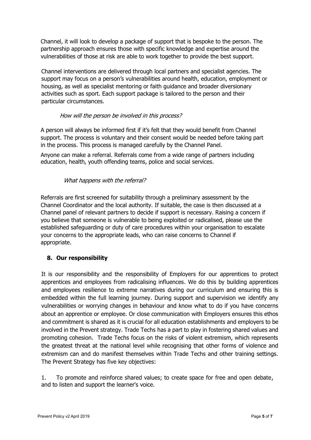Channel, it will look to develop a package of support that is bespoke to the person. The partnership approach ensures those with specific knowledge and expertise around the vulnerabilities of those at risk are able to work together to provide the best support.

Channel interventions are delivered through local partners and specialist agencies. The support may focus on a person's vulnerabilities around health, education, employment or housing, as well as specialist mentoring or faith guidance and broader diversionary activities such as sport. Each support package is tailored to the person and their particular circumstances.

#### How will the person be involved in this process?

A person will always be informed first if it's felt that they would benefit from Channel support. The process is voluntary and their consent would be needed before taking part in the process. This process is managed carefully by the Channel Panel.

Anyone can make a referral. Referrals come from a wide range of partners including education, health, youth offending teams, police and social services.

# What happens with the referral?

Referrals are first screened for suitability through a preliminary assessment by the Channel Coordinator and the local authority. If suitable, the case is then discussed at a Channel panel of relevant partners to decide if support is necessary. Raising a concern if you believe that someone is vulnerable to being exploited or radicalised, please use the established safeguarding or duty of care procedures within your organisation to escalate your concerns to the appropriate leads, who can raise concerns to Channel if appropriate.

# **8. Our responsibility**

It is our responsibility and the responsibility of Employers for our apprentices to protect apprentices and employees from radicalising influences. We do this by building apprentices and employees resilience to extreme narratives during our curriculum and ensuring this is embedded within the full learning journey. During support and supervision we identify any vulnerabilities or worrying changes in behaviour and know what to do if you have concerns about an apprentice or employee. Or close communication with Employers ensures this ethos and commitment is shared as it is crucial for all education establishments and employers to be involved in the Prevent strategy. Trade Techs has a part to play in fostering shared values and promoting cohesion. Trade Techs focus on the risks of violent extremism, which represents the greatest threat at the national level while recognising that other forms of violence and extremism can and do manifest themselves within Trade Techs and other training settings. The Prevent Strategy has five key objectives:

1. To promote and reinforce shared values; to create space for free and open debate, and to listen and support the learner's voice.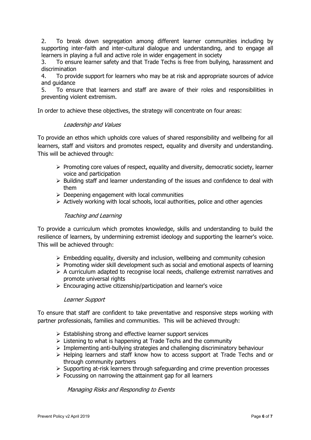2. To break down segregation among different learner communities including by supporting inter-faith and inter-cultural dialogue and understanding, and to engage all learners in playing a full and active role in wider engagement in society

3. To ensure learner safety and that Trade Techs is free from bullying, harassment and discrimination

4. To provide support for learners who may be at risk and appropriate sources of advice and guidance

5. To ensure that learners and staff are aware of their roles and responsibilities in preventing violent extremism.

In order to achieve these objectives, the strategy will concentrate on four areas:

#### Leadership and Values

To provide an ethos which upholds core values of shared responsibility and wellbeing for all learners, staff and visitors and promotes respect, equality and diversity and understanding. This will be achieved through:

- $\triangleright$  Promoting core values of respect, equality and diversity, democratic society, learner voice and participation
- ➢ Building staff and learner understanding of the issues and confidence to deal with them
- $\triangleright$  Deepening engagement with local communities
- $\triangleright$  Actively working with local schools, local authorities, police and other agencies

#### Teaching and Learning

To provide a curriculum which promotes knowledge, skills and understanding to build the resilience of learners, by undermining extremist ideology and supporting the learner's voice. This will be achieved through:

- $\triangleright$  Embedding equality, diversity and inclusion, wellbeing and community cohesion
- ➢ Promoting wider skill development such as social and emotional aspects of learning
- ➢ A curriculum adapted to recognise local needs, challenge extremist narratives and promote universal rights
- ➢ Encouraging active citizenship/participation and learner's voice

#### Learner Support

To ensure that staff are confident to take preventative and responsive steps working with partner professionals, families and communities. This will be achieved through:

- ➢ Establishing strong and effective learner support services
- $\triangleright$  Listening to what is happening at Trade Techs and the community
- ➢ Implementing anti-bullying strategies and challenging discriminatory behaviour
- ➢ Helping learners and staff know how to access support at Trade Techs and or through community partners
- ➢ Supporting at-risk learners through safeguarding and crime prevention processes
- $\triangleright$  Focussing on narrowing the attainment gap for all learners

Managing Risks and Responding to Events